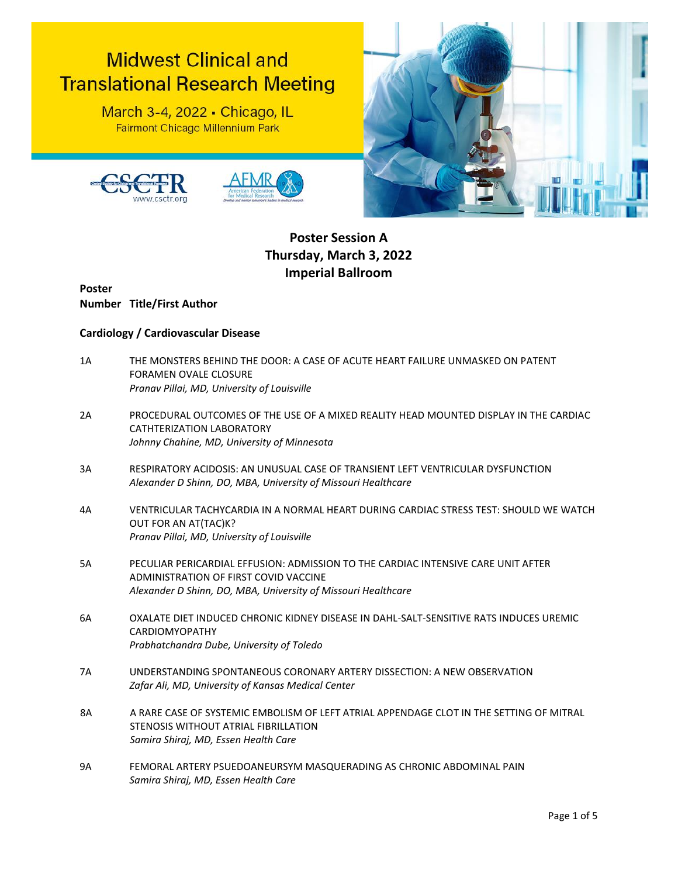# **Midwest Clinical and Translational Research Meeting**

March 3-4, 2022 - Chicago, IL Fairmont Chicago Millennium Park







## **Poster Session A Thursday, March 3, 2022 Imperial Ballroom**

**Poster Number Title/First Author**

### **Cardiology / Cardiovascular Disease**

- 1A THE MONSTERS BEHIND THE DOOR: A CASE OF ACUTE HEART FAILURE UNMASKED ON PATENT FORAMEN OVALE CLOSURE *Pranav Pillai, MD, University of Louisville*
- 2A PROCEDURAL OUTCOMES OF THE USE OF A MIXED REALITY HEAD MOUNTED DISPLAY IN THE CARDIAC CATHTERIZATION LABORATORY *Johnny Chahine, MD, University of Minnesota*
- 3A RESPIRATORY ACIDOSIS: AN UNUSUAL CASE OF TRANSIENT LEFT VENTRICULAR DYSFUNCTION *Alexander D Shinn, DO, MBA, University of Missouri Healthcare*
- 4A VENTRICULAR TACHYCARDIA IN A NORMAL HEART DURING CARDIAC STRESS TEST: SHOULD WE WATCH OUT FOR AN AT(TAC)K? *Pranav Pillai, MD, University of Louisville*
- 5A PECULIAR PERICARDIAL EFFUSION: ADMISSION TO THE CARDIAC INTENSIVE CARE UNIT AFTER ADMINISTRATION OF FIRST COVID VACCINE *Alexander D Shinn, DO, MBA, University of Missouri Healthcare*
- 6A OXALATE DIET INDUCED CHRONIC KIDNEY DISEASE IN DAHL-SALT-SENSITIVE RATS INDUCES UREMIC CARDIOMYOPATHY *Prabhatchandra Dube, University of Toledo*
- 7A UNDERSTANDING SPONTANEOUS CORONARY ARTERY DISSECTION: A NEW OBSERVATION *Zafar Ali, MD, University of Kansas Medical Center*
- 8A A RARE CASE OF SYSTEMIC EMBOLISM OF LEFT ATRIAL APPENDAGE CLOT IN THE SETTING OF MITRAL STENOSIS WITHOUT ATRIAL FIBRILLATION *Samira Shiraj, MD, Essen Health Care*
- 9A FEMORAL ARTERY PSUEDOANEURSYM MASQUERADING AS CHRONIC ABDOMINAL PAIN *Samira Shiraj, MD, Essen Health Care*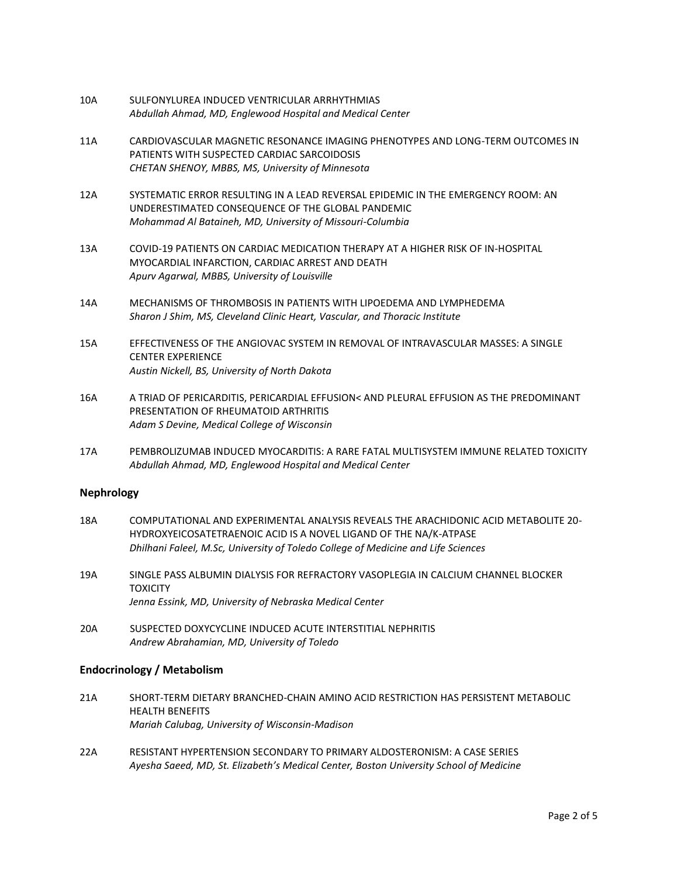- 10A SULFONYLUREA INDUCED VENTRICULAR ARRHYTHMIAS *Abdullah Ahmad, MD, Englewood Hospital and Medical Center*
- 11A CARDIOVASCULAR MAGNETIC RESONANCE IMAGING PHENOTYPES AND LONG-TERM OUTCOMES IN PATIENTS WITH SUSPECTED CARDIAC SARCOIDOSIS *CHETAN SHENOY, MBBS, MS, University of Minnesota*
- 12A SYSTEMATIC ERROR RESULTING IN A LEAD REVERSAL EPIDEMIC IN THE EMERGENCY ROOM: AN UNDERESTIMATED CONSEQUENCE OF THE GLOBAL PANDEMIC *Mohammad Al Bataineh, MD, University of Missouri-Columbia*
- 13A COVID-19 PATIENTS ON CARDIAC MEDICATION THERAPY AT A HIGHER RISK OF IN-HOSPITAL MYOCARDIAL INFARCTION, CARDIAC ARREST AND DEATH *Apurv Agarwal, MBBS, University of Louisville*
- 14A MECHANISMS OF THROMBOSIS IN PATIENTS WITH LIPOEDEMA AND LYMPHEDEMA *Sharon J Shim, MS, Cleveland Clinic Heart, Vascular, and Thoracic Institute*
- 15A EFFECTIVENESS OF THE ANGIOVAC SYSTEM IN REMOVAL OF INTRAVASCULAR MASSES: A SINGLE CENTER EXPERIENCE *Austin Nickell, BS, University of North Dakota*
- 16A A TRIAD OF PERICARDITIS, PERICARDIAL EFFUSION< AND PLEURAL EFFUSION AS THE PREDOMINANT PRESENTATION OF RHEUMATOID ARTHRITIS *Adam S Devine, Medical College of Wisconsin*
- 17A PEMBROLIZUMAB INDUCED MYOCARDITIS: A RARE FATAL MULTISYSTEM IMMUNE RELATED TOXICITY *Abdullah Ahmad, MD, Englewood Hospital and Medical Center*

#### **Nephrology**

- 18A COMPUTATIONAL AND EXPERIMENTAL ANALYSIS REVEALS THE ARACHIDONIC ACID METABOLITE 20- HYDROXYEICOSATETRAENOIC ACID IS A NOVEL LIGAND OF THE NA/K-ATPASE *Dhilhani Faleel, M.Sc, University of Toledo College of Medicine and Life Sciences*
- 19A SINGLE PASS ALBUMIN DIALYSIS FOR REFRACTORY VASOPLEGIA IN CALCIUM CHANNEL BLOCKER **TOXICITY** *Jenna Essink, MD, University of Nebraska Medical Center*
- 20A SUSPECTED DOXYCYCLINE INDUCED ACUTE INTERSTITIAL NEPHRITIS *Andrew Abrahamian, MD, University of Toledo*

#### **Endocrinology / Metabolism**

- 21A SHORT-TERM DIETARY BRANCHED-CHAIN AMINO ACID RESTRICTION HAS PERSISTENT METABOLIC HEALTH BENEFITS *Mariah Calubag, University of Wisconsin-Madison*
- 22A RESISTANT HYPERTENSION SECONDARY TO PRIMARY ALDOSTERONISM: A CASE SERIES *Ayesha Saeed, MD, St. Elizabeth's Medical Center, Boston University School of Medicine*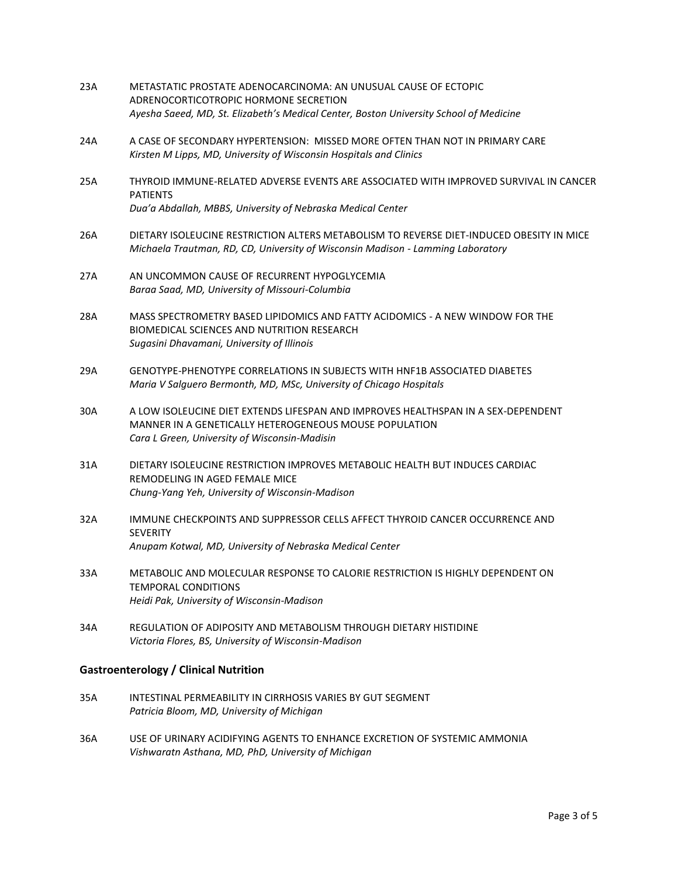- 23A METASTATIC PROSTATE ADENOCARCINOMA: AN UNUSUAL CAUSE OF ECTOPIC ADRENOCORTICOTROPIC HORMONE SECRETION *Ayesha Saeed, MD, St. Elizabeth's Medical Center, Boston University School of Medicine*
- 24A A CASE OF SECONDARY HYPERTENSION: MISSED MORE OFTEN THAN NOT IN PRIMARY CARE *Kirsten M Lipps, MD, University of Wisconsin Hospitals and Clinics*
- 25A THYROID IMMUNE-RELATED ADVERSE EVENTS ARE ASSOCIATED WITH IMPROVED SURVIVAL IN CANCER PATIENTS *Dua'a Abdallah, MBBS, University of Nebraska Medical Center*
- 26A DIETARY ISOLEUCINE RESTRICTION ALTERS METABOLISM TO REVERSE DIET-INDUCED OBESITY IN MICE *Michaela Trautman, RD, CD, University of Wisconsin Madison - Lamming Laboratory*
- 27A AN UNCOMMON CAUSE OF RECURRENT HYPOGLYCEMIA *Baraa Saad, MD, University of Missouri-Columbia*
- 28A MASS SPECTROMETRY BASED LIPIDOMICS AND FATTY ACIDOMICS A NEW WINDOW FOR THE BIOMEDICAL SCIENCES AND NUTRITION RESEARCH *Sugasini Dhavamani, University of Illinois*
- 29A GENOTYPE-PHENOTYPE CORRELATIONS IN SUBJECTS WITH HNF1B ASSOCIATED DIABETES *Maria V Salguero Bermonth, MD, MSc, University of Chicago Hospitals*
- 30A A LOW ISOLEUCINE DIET EXTENDS LIFESPAN AND IMPROVES HEALTHSPAN IN A SEX-DEPENDENT MANNER IN A GENETICALLY HETEROGENEOUS MOUSE POPULATION *Cara L Green, University of Wisconsin-Madisin*
- 31A DIETARY ISOLEUCINE RESTRICTION IMPROVES METABOLIC HEALTH BUT INDUCES CARDIAC REMODELING IN AGED FEMALE MICE *Chung-Yang Yeh, University of Wisconsin-Madison*
- 32A IMMUNE CHECKPOINTS AND SUPPRESSOR CELLS AFFECT THYROID CANCER OCCURRENCE AND **SEVERITY** *Anupam Kotwal, MD, University of Nebraska Medical Center*
- 33A METABOLIC AND MOLECULAR RESPONSE TO CALORIE RESTRICTION IS HIGHLY DEPENDENT ON TEMPORAL CONDITIONS *Heidi Pak, University of Wisconsin-Madison*
- 34A REGULATION OF ADIPOSITY AND METABOLISM THROUGH DIETARY HISTIDINE *Victoria Flores, BS, University of Wisconsin-Madison*

#### **Gastroenterology / Clinical Nutrition**

- 35A INTESTINAL PERMEABILITY IN CIRRHOSIS VARIES BY GUT SEGMENT *Patricia Bloom, MD, University of Michigan*
- 36A USE OF URINARY ACIDIFYING AGENTS TO ENHANCE EXCRETION OF SYSTEMIC AMMONIA *Vishwaratn Asthana, MD, PhD, University of Michigan*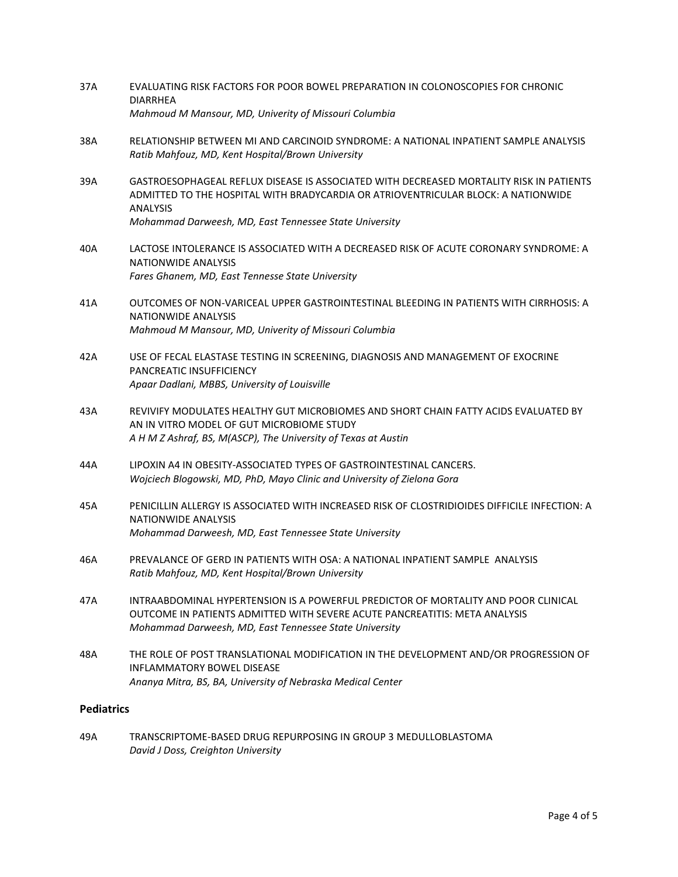- 37A EVALUATING RISK FACTORS FOR POOR BOWEL PREPARATION IN COLONOSCOPIES FOR CHRONIC **DIARRHFA** *Mahmoud M Mansour, MD, Univerity of Missouri Columbia*
- 38A RELATIONSHIP BETWEEN MI AND CARCINOID SYNDROME: A NATIONAL INPATIENT SAMPLE ANALYSIS *Ratib Mahfouz, MD, Kent Hospital/Brown University*
- 39A GASTROESOPHAGEAL REFLUX DISEASE IS ASSOCIATED WITH DECREASED MORTALITY RISK IN PATIENTS ADMITTED TO THE HOSPITAL WITH BRADYCARDIA OR ATRIOVENTRICULAR BLOCK: A NATIONWIDE ANALYSIS *Mohammad Darweesh, MD, East Tennessee State University*
- 40A LACTOSE INTOLERANCE IS ASSOCIATED WITH A DECREASED RISK OF ACUTE CORONARY SYNDROME: A NATIONWIDE ANALYSIS *Fares Ghanem, MD, East Tennesse State University*
- 41A OUTCOMES OF NON-VARICEAL UPPER GASTROINTESTINAL BLEEDING IN PATIENTS WITH CIRRHOSIS: A NATIONWIDE ANALYSIS *Mahmoud M Mansour, MD, Univerity of Missouri Columbia*
- 42A USE OF FECAL ELASTASE TESTING IN SCREENING, DIAGNOSIS AND MANAGEMENT OF EXOCRINE PANCREATIC INSUFFICIENCY *Apaar Dadlani, MBBS, University of Louisville*
- 43A REVIVIFY MODULATES HEALTHY GUT MICROBIOMES AND SHORT CHAIN FATTY ACIDS EVALUATED BY AN IN VITRO MODEL OF GUT MICROBIOME STUDY *A H M Z Ashraf, BS, M(ASCP), The University of Texas at Austin*
- 44A LIPOXIN A4 IN OBESITY-ASSOCIATED TYPES OF GASTROINTESTINAL CANCERS. *Wojciech Blogowski, MD, PhD, Mayo Clinic and University of Zielona Gora*
- 45A PENICILLIN ALLERGY IS ASSOCIATED WITH INCREASED RISK OF CLOSTRIDIOIDES DIFFICILE INFECTION: A NATIONWIDE ANALYSIS *Mohammad Darweesh, MD, East Tennessee State University*
- 46A PREVALANCE OF GERD IN PATIENTS WITH OSA: A NATIONAL INPATIENT SAMPLE ANALYSIS *Ratib Mahfouz, MD, Kent Hospital/Brown University*
- 47A INTRAABDOMINAL HYPERTENSION IS A POWERFUL PREDICTOR OF MORTALITY AND POOR CLINICAL OUTCOME IN PATIENTS ADMITTED WITH SEVERE ACUTE PANCREATITIS: META ANALYSIS *Mohammad Darweesh, MD, East Tennessee State University*
- 48A THE ROLE OF POST TRANSLATIONAL MODIFICATION IN THE DEVELOPMENT AND/OR PROGRESSION OF INFLAMMATORY BOWEL DISEASE *Ananya Mitra, BS, BA, University of Nebraska Medical Center*

#### **Pediatrics**

49A TRANSCRIPTOME-BASED DRUG REPURPOSING IN GROUP 3 MEDULLOBLASTOMA *David J Doss, Creighton University*